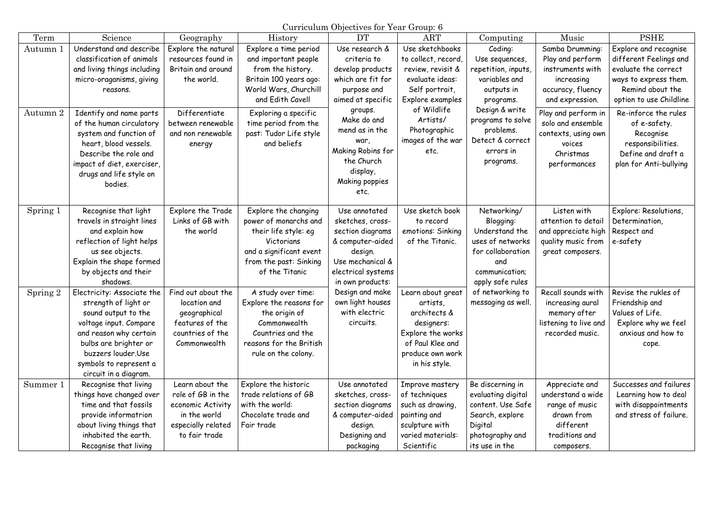Curriculum Objectives for Year Group: 6

| Term     | Science                                           | Geography           | <b>History</b>                                | <b>DT</b>                         | <b>ART</b>                       | Computing                              | Music                               | <b>PSHE</b>                                    |
|----------|---------------------------------------------------|---------------------|-----------------------------------------------|-----------------------------------|----------------------------------|----------------------------------------|-------------------------------------|------------------------------------------------|
| Autumn 1 | Understand and describe                           | Explore the natural | Explore a time period                         | Use research &                    | Use sketchbooks                  | Coding:                                | Samba Drumming:                     | Explore and recognise                          |
|          | classification of animals                         | resources found in  | and important people                          | criteria to                       | to collect, record,              | Use sequences,                         | Play and perform                    | different Feelings and                         |
|          | and living things including                       | Britain and around  | from the history.                             | develop products                  | review, revisit &                | repetition, inputs,                    | instruments with                    | evaluate the correct                           |
|          | micro-oraganisms, giving                          | the world.          | Britain 100 years ago:                        | which are fit for                 | evaluate ideas:                  | variables and                          | increasing                          | ways to express them.                          |
|          | reasons.                                          |                     | World Wars, Churchill                         | purpose and                       | Self portrait,                   | outputs in                             | accuracy, fluency                   | Remind about the                               |
|          |                                                   |                     | and Edith Cavell                              | aimed at specific                 | Explore examples                 | programs.                              | and expression.                     | option to use Childline                        |
| Autumn 2 | Identify and name parts                           | Differentiate       | Exploring a specific                          | groups.                           | of Wildlife                      | Design & write                         | Play and perform in                 | Re-inforce the rules                           |
|          | of the human circulatory                          | between renewable   | time period from the                          | Make do and                       | Artists/                         | programs to solve                      | solo and ensemble                   | of e-safety.                                   |
|          | system and function of                            | and non renewable   | past: Tudor Life style                        | mend as in the                    | Photographic                     | problems.<br>Detect & correct          | contexts, using own                 | Recognise                                      |
|          | heart, blood vessels.                             | energy              | and beliefs                                   | war,                              | images of the war                | errors in                              | voices                              | responsibilities.                              |
|          | Describe the role and                             |                     |                                               | Making Robins for<br>the Church   | etc.                             |                                        | Christmas                           | Define and draft a                             |
|          | impact of diet, exerciser,                        |                     |                                               | display,                          |                                  | programs.                              | performances                        | plan for Anti-bullying                         |
|          | drugs and life style on                           |                     |                                               | Making poppies                    |                                  |                                        |                                     |                                                |
|          | bodies.                                           |                     |                                               | etc.                              |                                  |                                        |                                     |                                                |
|          |                                                   |                     |                                               |                                   |                                  |                                        |                                     |                                                |
| Spring 1 | Recognise that light                              | Explore the Trade   | Explore the changing                          | Use annotated                     | Use sketch book                  | Networking/                            | Listen with                         | Explore: Resolutions,                          |
|          | travels in straight lines                         | Links of GB with    | power of monarchs and                         | sketches, cross-                  | to record                        | Blogging:                              | attention to detail                 | Determination,                                 |
|          | and explain how                                   | the world           | their life style: eg                          | section diagrams                  | emotions: Sinking                | Understand the                         | and appreciate high                 | Respect and                                    |
|          | reflection of light helps                         |                     | Victorians                                    | & computer-aided                  | of the Titanic.                  | uses of networks                       | quality music from                  | e-safety                                       |
|          | us see objects.                                   |                     | and a significant event                       | design.                           |                                  | for collaboration                      | great composers.                    |                                                |
|          | Explain the shape formed                          |                     | from the past: Sinking                        | Use mechanical &                  |                                  | and                                    |                                     |                                                |
|          | by objects and their                              |                     | of the Titanic                                | electrical systems                |                                  | communication;                         |                                     |                                                |
|          | shadows.                                          |                     |                                               | in own products:                  |                                  | apply safe rules                       |                                     |                                                |
| Spring 2 | Electricity: Associate the                        | Find out about the  | A study over time:                            | Design and make                   | Learn about great                | of networking to                       | Recall sounds with                  | Revise the rukles of                           |
|          | strength of light or                              | location and        | Explore the reasons for                       | own light houses                  | artists                          | messaging as well.                     | increasing aural                    | Friendship and                                 |
|          | sound output to the                               | geographical        | the origin of                                 | with electric                     | architects &                     |                                        | memory after                        | Values of Life.                                |
|          | voltage input. Compare                            | features of the     | Commonwealth                                  | circuits.                         | designers:                       |                                        | listening to live and               | Explore why we feel                            |
|          | and reason why certain                            | countries of the    | Countries and the                             |                                   | Explore the works                |                                        | recorded music.                     | anxious and how to                             |
|          | bulbs are brighter or                             | Commonwealth        | reasons for the British                       |                                   | of Paul Klee and                 |                                        |                                     | cope.                                          |
|          | buzzers louder.Use                                |                     | rule on the colony.                           |                                   | produce own work                 |                                        |                                     |                                                |
|          | symbols to represent a                            |                     |                                               |                                   | in his style.                    |                                        |                                     |                                                |
|          | circuit in a diagram.                             | Learn about the     |                                               |                                   |                                  |                                        |                                     |                                                |
| Summer 1 | Recognise that living<br>things have changed over | role of GB in the   | Explore the historic<br>trade relations of GB | Use annotated<br>sketches, cross- | Improve mastery<br>of techniques | Be discerning in<br>evaluating digital | Appreciate and<br>understand a wide | Successes and failures<br>Learning how to deal |
|          | time and that fossils                             | economic Activity   | with the world:                               | section diagrams                  | such as drawing,                 | content. Use Safe                      | range of music                      | with disappointments                           |
|          | provide informatrion                              | in the world        | Chocolate trade and                           | & computer-aided                  | painting and                     | Search, explore                        | drawn from                          | and stress of failure.                         |
|          | about living things that                          | especially related  | Fair trade                                    | design.                           | sculpture with                   | Digital                                | different                           |                                                |
|          | inhabited the earth.                              | to fair trade       |                                               | Designing and                     | varied materials:                | photography and                        | traditions and                      |                                                |
|          | Recognise that living                             |                     |                                               | packaging                         | Scientific                       | its use in the                         | composers.                          |                                                |